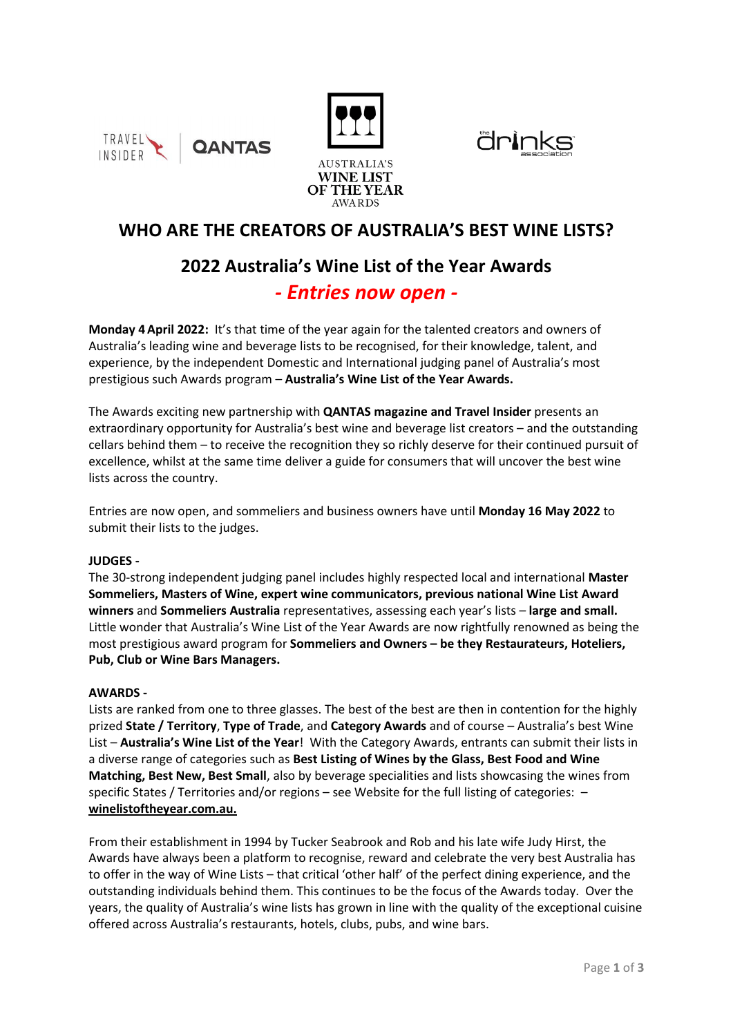







# **WHO ARE THE CREATORS OF AUSTRALIA'S BEST WINE LISTS?**

# **2022 Australia's Wine List of the Year Awards** *- Entries now open -*

**Monday 4April 2022:** It's that time of the year again for the talented creators and owners of Australia's leading wine and beverage lists to be recognised, for their knowledge, talent, and experience, by the independent Domestic and International judging panel of Australia's most prestigious such Awards program – **Australia's Wine List of the Year Awards.**

The Awards exciting new partnership with **QANTAS magazine and Travel Insider** presents an extraordinary opportunity for Australia's best wine and beverage list creators – and the outstanding cellars behind them – to receive the recognition they so richly deserve for their continued pursuit of excellence, whilst at the same time deliver a guide for consumers that will uncover the best wine lists across the country.

Entries are now open, and sommeliers and business owners have until **Monday 16 May 2022** to submit their lists to the judges.

## **JUDGES -**

The 30-strong independent judging panel includes highly respected local and international **Master Sommeliers, Masters of Wine, expert wine communicators, previous national Wine List Award winners** and **Sommeliers Australia** representatives, assessing each year's lists – **large and small.** Little wonder that Australia's Wine List of the Year Awards are now rightfully renowned as being the most prestigious award program for **Sommeliers and Owners – be they Restaurateurs, Hoteliers, Pub, Club or Wine Bars Managers.**

## **AWARDS -**

Lists are ranked from one to three glasses. The best of the best are then in contention for the highly prized **State / Territory**, **Type of Trade**, and **Category Awards** and of course – Australia's best Wine List – **Australia's Wine List of the Year**! With the Category Awards, entrants can submit their lists in a diverse range of categories such as **Best Listing of Wines by the Glass, Best Food and Wine Matching, Best New, Best Small**, also by beverage specialities and lists showcasing the wines from specific States / Territories and/or regions – see Website for the full listing of categories: – **[winelistoftheyear.com.au.](http://www.winelistoftheyear.com.au/)** 

From their establishment in 1994 by Tucker Seabrook and Rob and his late wife Judy Hirst, the Awards have always been a platform to recognise, reward and celebrate the very best Australia has to offer in the way of Wine Lists – that critical 'other half' of the perfect dining experience, and the outstanding individuals behind them. This continues to be the focus of the Awards today. Over the years, the quality of Australia's wine lists has grown in line with the quality of the exceptional cuisine offered across Australia's restaurants, hotels, clubs, pubs, and wine bars.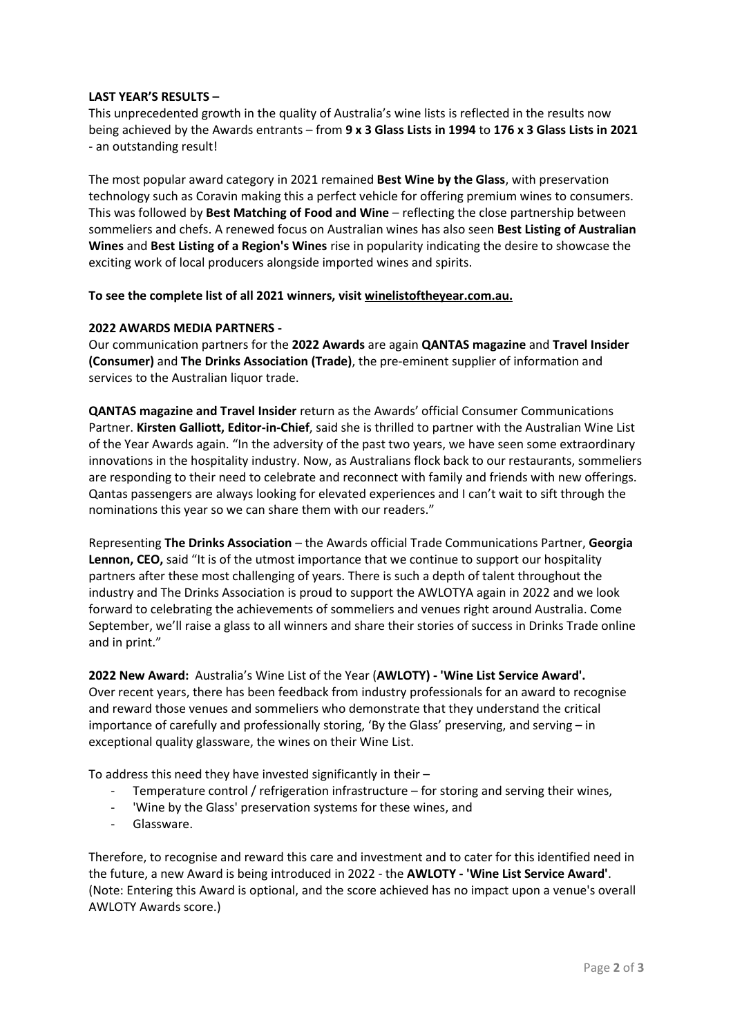## **LAST YEAR'S RESULTS –**

This unprecedented growth in the quality of Australia's wine lists is reflected in the results now being achieved by the Awards entrants – from **9 x 3 Glass Lists in 1994** to **176 x 3 Glass Lists in 2021** - an outstanding result!

The most popular award category in 2021 remained **Best Wine by the Glass**, with preservation technology such as Coravin making this a perfect vehicle for offering premium wines to consumers. This was followed by **Best Matching of Food and Wine** – reflecting the close partnership between sommeliers and chefs. A renewed focus on Australian wines has also seen **Best Listing of Australian Wines** and **Best Listing of a Region's Wines** rise in popularity indicating the desire to showcase the exciting work of local producers alongside imported wines and spirits.

### **To see the complete list of all 2021 winners, visit [winelistoftheyear.com.au.](http://www.winelistoftheyear.com.au/)**

### **2022 AWARDS MEDIA PARTNERS -**

Our communication partners for the **2022 Awards** are again **QANTAS magazine** and **Travel Insider (Consumer)** and **The Drinks Association (Trade)**, the pre-eminent supplier of information and services to the Australian liquor trade.

**QANTAS magazine and Travel Insider** return as the Awards' official Consumer Communications Partner. **Kirsten Galliott, Editor-in-Chief**, said she is thrilled to partner with the Australian Wine List of the Year Awards again. "In the adversity of the past two years, we have seen some extraordinary innovations in the hospitality industry. Now, as Australians flock back to our restaurants, sommeliers are responding to their need to celebrate and reconnect with family and friends with new offerings. Qantas passengers are always looking for elevated experiences and I can't wait to sift through the nominations this year so we can share them with our readers."

Representing **The Drinks Association** – the Awards official Trade Communications Partner, **Georgia Lennon, CEO,** said "It is of the utmost importance that we continue to support our hospitality partners after these most challenging of years. There is such a depth of talent throughout the industry and The Drinks Association is proud to support the AWLOTYA again in 2022 and we look forward to celebrating the achievements of sommeliers and venues right around Australia. Come September, we'll raise a glass to all winners and share their stories of success in Drinks Trade online and in print."

**2022 New Award:** Australia's Wine List of the Year (**AWLOTY) - 'Wine List Service Award'.** Over recent years, there has been feedback from industry professionals for an award to recognise and reward those venues and sommeliers who demonstrate that they understand the critical importance of carefully and professionally storing, 'By the Glass' preserving, and serving – in exceptional quality glassware, the wines on their Wine List.

To address this need they have invested significantly in their –

- Temperature control / refrigeration infrastructure for storing and serving their wines,
- 'Wine by the Glass' preservation systems for these wines, and
- Glassware.

Therefore, to recognise and reward this care and investment and to cater for this identified need in the future, a new Award is being introduced in 2022 - the **AWLOTY - 'Wine List Service Award'**. (Note: Entering this Award is optional, and the score achieved has no impact upon a venue's overall AWLOTY Awards score.)